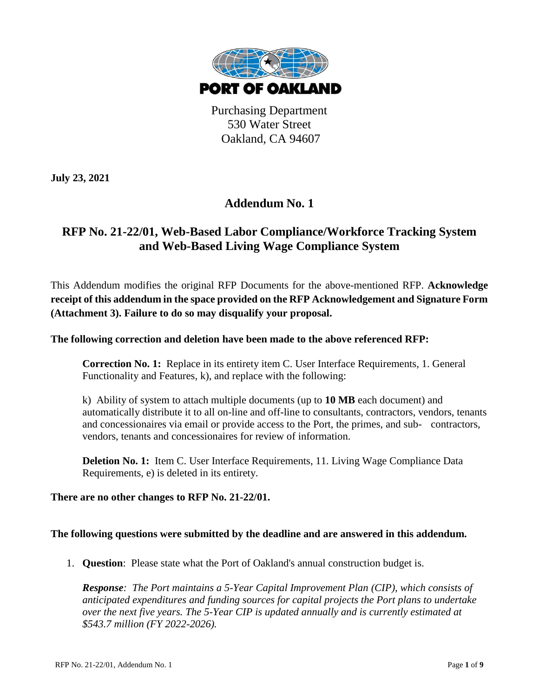

Purchasing Department 530 Water Street Oakland, CA 94607

**July 23, 2021**

## **Addendum No. 1**

## **RFP No. 21-22/01, Web-Based Labor Compliance/Workforce Tracking System and Web-Based Living Wage Compliance System**

This Addendum modifies the original RFP Documents for the above-mentioned RFP. **Acknowledge receipt of this addendum in the space provided on the RFP Acknowledgement and Signature Form (Attachment 3). Failure to do so may disqualify your proposal.**

**The following correction and deletion have been made to the above referenced RFP:**

**Correction No. 1:** Replace in its entirety item C. User Interface Requirements, 1. General Functionality and Features, k), and replace with the following:

k) Ability of system to attach multiple documents (up to **10 MB** each document) and automatically distribute it to all on-line and off-line to consultants, contractors, vendors, tenants and concessionaires via email or provide access to the Port, the primes, and sub- contractors, vendors, tenants and concessionaires for review of information.

**Deletion No. 1:** Item C. User Interface Requirements, 11. Living Wage Compliance Data Requirements, e) is deleted in its entirety.

## **There are no other changes to RFP No. 21-22/01.**

## **The following questions were submitted by the deadline and are answered in this addendum.**

1. **Question**: Please state what the Port of Oakland's annual construction budget is.

*Response: The Port maintains a 5-Year Capital Improvement Plan (CIP), which consists of anticipated expenditures and funding sources for capital projects the Port plans to undertake over the next five years. The 5-Year CIP is updated annually and is currently estimated at \$543.7 million (FY 2022-2026).*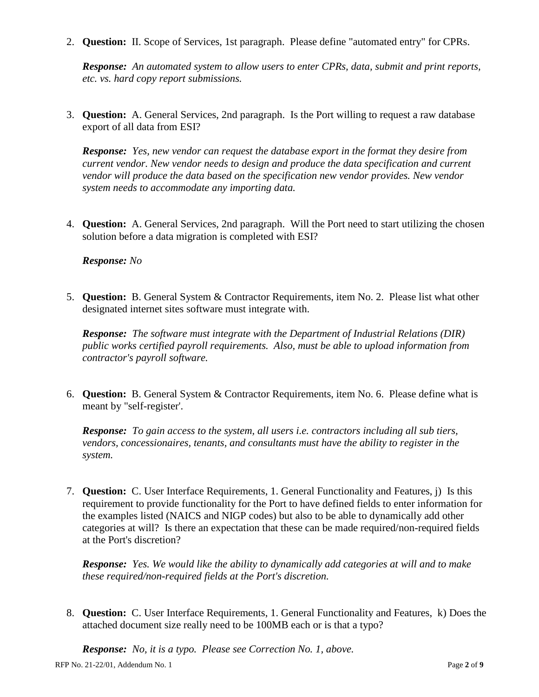2. **Question:** II. Scope of Services, 1st paragraph. Please define "automated entry" for CPRs.

*Response: An automated system to allow users to enter CPRs, data, submit and print reports, etc. vs. hard copy report submissions.*

3. **Question:** A. General Services, 2nd paragraph. Is the Port willing to request a raw database export of all data from ESI?

*Response: Yes, new vendor can request the database export in the format they desire from current vendor. New vendor needs to design and produce the data specification and current vendor will produce the data based on the specification new vendor provides. New vendor system needs to accommodate any importing data.*

4. **Question:** A. General Services, 2nd paragraph. Will the Port need to start utilizing the chosen solution before a data migration is completed with ESI?

*Response: No*

5. **Question:** B. General System & Contractor Requirements, item No. 2. Please list what other designated internet sites software must integrate with.

*Response: The software must integrate with the Department of Industrial Relations (DIR) public works certified payroll requirements. Also, must be able to upload information from contractor's payroll software.*

6. **Question:** B. General System & Contractor Requirements, item No. 6. Please define what is meant by "self-register'.

*Response: To gain access to the system, all users i.e. contractors including all sub tiers, vendors, concessionaires, tenants, and consultants must have the ability to register in the system.*

7. **Question:** C. User Interface Requirements, 1. General Functionality and Features, j) Is this requirement to provide functionality for the Port to have defined fields to enter information for the examples listed (NAICS and NIGP codes) but also to be able to dynamically add other categories at will? Is there an expectation that these can be made required/non-required fields at the Port's discretion?

*Response: Yes. We would like the ability to dynamically add categories at will and to make these required/non-required fields at the Port's discretion.* 

8. **Question:** C. User Interface Requirements, 1. General Functionality and Features, k) Does the attached document size really need to be 100MB each or is that a typo?

RFP No. 21-22/01, Addendum No. 1 Page **2** of **9** *Response: No, it is a typo. Please see Correction No. 1, above.*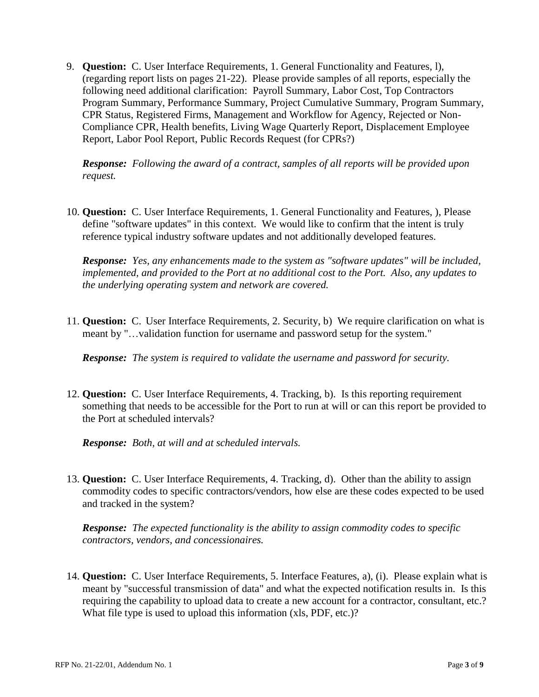9. **Question:** C. User Interface Requirements, 1. General Functionality and Features, l), (regarding report lists on pages 21-22). Please provide samples of all reports, especially the following need additional clarification: Payroll Summary, Labor Cost, Top Contractors Program Summary, Performance Summary, Project Cumulative Summary, Program Summary, CPR Status, Registered Firms, Management and Workflow for Agency, Rejected or Non-Compliance CPR, Health benefits, Living Wage Quarterly Report, Displacement Employee Report, Labor Pool Report, Public Records Request (for CPRs?)

*Response: Following the award of a contract, samples of all reports will be provided upon request.*

10. **Question:** C. User Interface Requirements, 1. General Functionality and Features, ), Please define "software updates" in this context. We would like to confirm that the intent is truly reference typical industry software updates and not additionally developed features.

*Response: Yes, any enhancements made to the system as "software updates" will be included, implemented, and provided to the Port at no additional cost to the Port. Also, any updates to the underlying operating system and network are covered.*

11. **Question:** C. User Interface Requirements, 2. Security, b) We require clarification on what is meant by "…validation function for username and password setup for the system."

*Response: The system is required to validate the username and password for security.* 

12. **Question:** C. User Interface Requirements, 4. Tracking, b). Is this reporting requirement something that needs to be accessible for the Port to run at will or can this report be provided to the Port at scheduled intervals?

*Response: Both, at will and at scheduled intervals.* 

13. **Question:** C. User Interface Requirements, 4. Tracking, d). Other than the ability to assign commodity codes to specific contractors/vendors, how else are these codes expected to be used and tracked in the system?

*Response: The expected functionality is the ability to assign commodity codes to specific contractors, vendors, and concessionaires.* 

14. **Question:** C. User Interface Requirements, 5. Interface Features, a), (i). Please explain what is meant by "successful transmission of data" and what the expected notification results in. Is this requiring the capability to upload data to create a new account for a contractor, consultant, etc.? What file type is used to upload this information (xls, PDF, etc.)?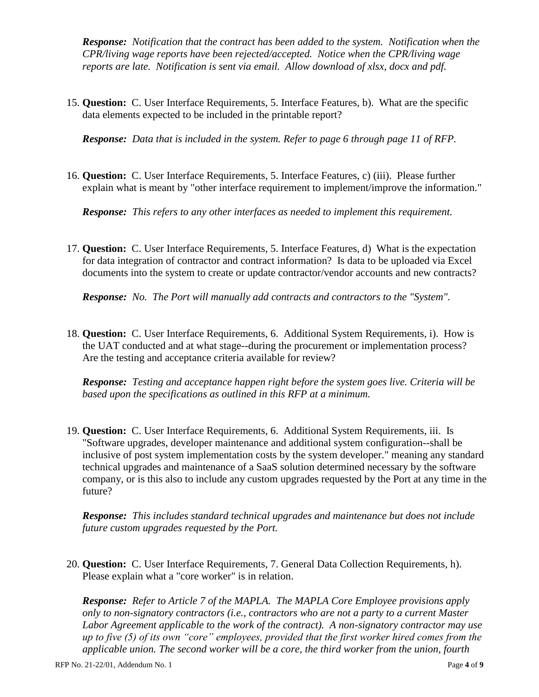*Response: Notification that the contract has been added to the system. Notification when the CPR/living wage reports have been rejected/accepted. Notice when the CPR/living wage reports are late. Notification is sent via email. Allow download of xlsx, docx and pdf.* 

15. **Question:** C. User Interface Requirements, 5. Interface Features, b). What are the specific data elements expected to be included in the printable report?

*Response: Data that is included in the system. Refer to page 6 through page 11 of RFP.* 

16. **Question:** C. User Interface Requirements, 5. Interface Features, c) (iii). Please further explain what is meant by "other interface requirement to implement/improve the information."

*Response: This refers to any other interfaces as needed to implement this requirement.*

17. **Question:** C. User Interface Requirements, 5. Interface Features, d) What is the expectation for data integration of contractor and contract information? Is data to be uploaded via Excel documents into the system to create or update contractor/vendor accounts and new contracts?

*Response: No. The Port will manually add contracts and contractors to the "System".*

18. **Question:** C. User Interface Requirements, 6. Additional System Requirements, i). How is the UAT conducted and at what stage--during the procurement or implementation process? Are the testing and acceptance criteria available for review?

*Response: Testing and acceptance happen right before the system goes live. Criteria will be based upon the specifications as outlined in this RFP at a minimum.*

19. **Question:** C. User Interface Requirements, 6. Additional System Requirements, iii. Is "Software upgrades, developer maintenance and additional system configuration--shall be inclusive of post system implementation costs by the system developer." meaning any standard technical upgrades and maintenance of a SaaS solution determined necessary by the software company, or is this also to include any custom upgrades requested by the Port at any time in the future?

*Response: This includes standard technical upgrades and maintenance but does not include future custom upgrades requested by the Port.* 

20. **Question:** C. User Interface Requirements, 7. General Data Collection Requirements, h). Please explain what a "core worker" is in relation.

*Response: Refer to Article 7 of the MAPLA. The MAPLA Core Employee provisions apply only to non-signatory contractors (i.e., contractors who are not a party to a current Master Labor Agreement applicable to the work of the contract). A non-signatory contractor may use up to five (5) of its own "core" employees, provided that the first worker hired comes from the applicable union. The second worker will be a core, the third worker from the union, fourth*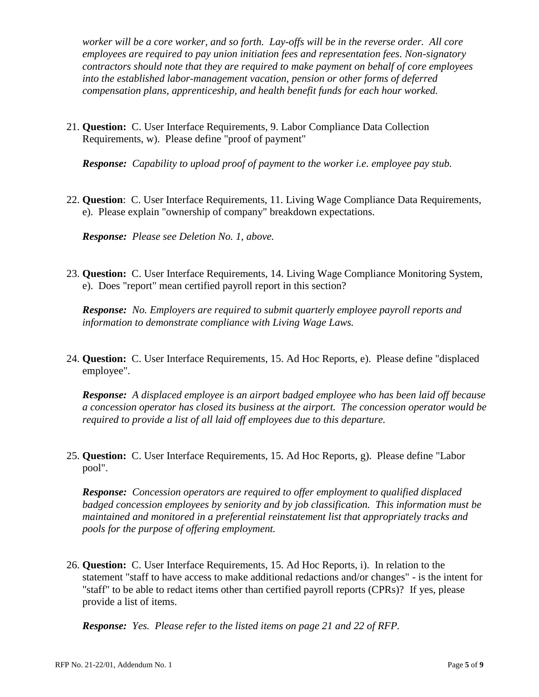*worker will be a core worker, and so forth. Lay-offs will be in the reverse order. All core employees are required to pay union initiation fees and representation fees. Non-signatory contractors should note that they are required to make payment on behalf of core employees into the established labor-management vacation, pension or other forms of deferred compensation plans, apprenticeship, and health benefit funds for each hour worked.*

21. **Question:** C. User Interface Requirements, 9. Labor Compliance Data Collection Requirements, w). Please define "proof of payment"

*Response: Capability to upload proof of payment to the worker i.e. employee pay stub.*

22. **Question**: C. User Interface Requirements, 11. Living Wage Compliance Data Requirements, e). Please explain "ownership of company" breakdown expectations.

*Response: Please see Deletion No. 1, above.*

23. **Question:** C. User Interface Requirements, 14. Living Wage Compliance Monitoring System, e). Does "report" mean certified payroll report in this section?

*Response: No. Employers are required to submit quarterly employee payroll reports and information to demonstrate compliance with Living Wage Laws.* 

24. **Question:** C. User Interface Requirements, 15. Ad Hoc Reports, e). Please define "displaced employee".

*Response: A displaced employee is an airport badged employee who has been laid off because a concession operator has closed its business at the airport. The concession operator would be required to provide a list of all laid off employees due to this departure.* 

25. **Question:** C. User Interface Requirements, 15. Ad Hoc Reports, g). Please define "Labor pool".

*Response: Concession operators are required to offer employment to qualified displaced badged concession employees by seniority and by job classification. This information must be maintained and monitored in a preferential reinstatement list that appropriately tracks and pools for the purpose of offering employment.*

26. **Question:** C. User Interface Requirements, 15. Ad Hoc Reports, i). In relation to the statement "staff to have access to make additional redactions and/or changes" - is the intent for "staff" to be able to redact items other than certified payroll reports (CPRs)? If yes, please provide a list of items.

*Response: Yes. Please refer to the listed items on page 21 and 22 of RFP.*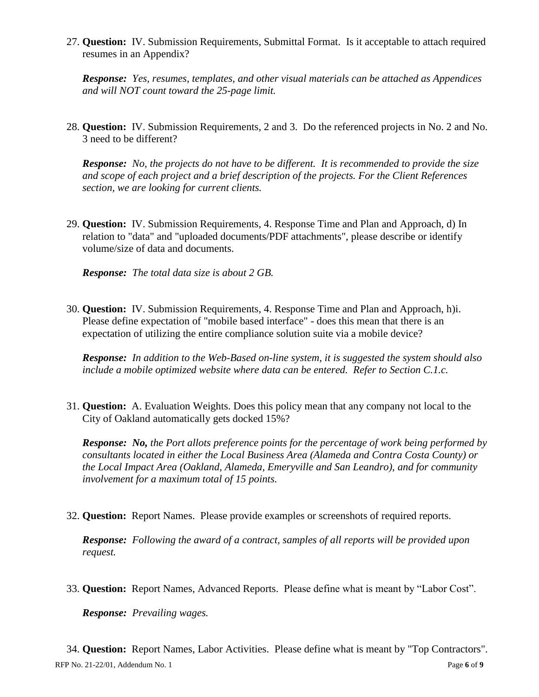27. **Question:** IV. Submission Requirements, Submittal Format. Is it acceptable to attach required resumes in an Appendix?

*Response: Yes, resumes, templates, and other visual materials can be attached as Appendices and will NOT count toward the 25-page limit.*

28. **Question:** IV. Submission Requirements, 2 and 3. Do the referenced projects in No. 2 and No. 3 need to be different?

*Response: No, the projects do not have to be different. It is recommended to provide the size and scope of each project and a brief description of the projects. For the Client References section, we are looking for current clients.* 

29. **Question:** IV. Submission Requirements, 4. Response Time and Plan and Approach, d) In relation to "data" and "uploaded documents/PDF attachments", please describe or identify volume/size of data and documents.

*Response: The total data size is about 2 GB.* 

30. **Question:** IV. Submission Requirements, 4. Response Time and Plan and Approach, h)i. Please define expectation of "mobile based interface" - does this mean that there is an expectation of utilizing the entire compliance solution suite via a mobile device?

*Response: In addition to the Web-Based on-line system, it is suggested the system should also include a mobile optimized website where data can be entered. Refer to Section C.1.c.*

31. **Question:** A. Evaluation Weights. Does this policy mean that any company not local to the City of Oakland automatically gets docked 15%?

*Response: No, the Port allots preference points for the percentage of work being performed by consultants located in either the Local Business Area (Alameda and Contra Costa County) or the Local Impact Area (Oakland, Alameda, Emeryville and San Leandro), and for community involvement for a maximum total of 15 points.*

32. **Question:** Report Names. Please provide examples or screenshots of required reports.

*Response: Following the award of a contract, samples of all reports will be provided upon request.*

33. **Question:** Report Names, Advanced Reports. Please define what is meant by "Labor Cost".

*Response: Prevailing wages.*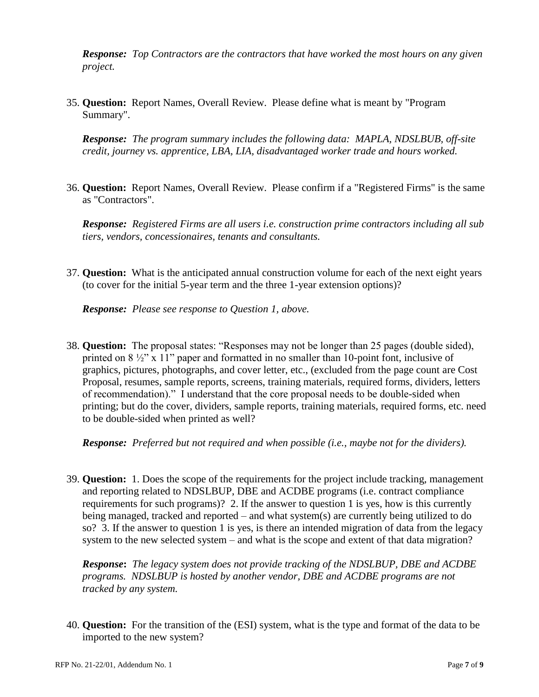*Response: Top Contractors are the contractors that have worked the most hours on any given project.*

35. **Question:** Report Names, Overall Review. Please define what is meant by "Program Summary".

*Response: The program summary includes the following data: MAPLA, NDSLBUB, off-site credit, journey vs. apprentice, LBA, LIA, disadvantaged worker trade and hours worked.*

36. **Question:** Report Names, Overall Review. Please confirm if a "Registered Firms" is the same as "Contractors".

*Response: Registered Firms are all users i.e. construction prime contractors including all sub tiers, vendors, concessionaires, tenants and consultants.*

37. **Question:** What is the anticipated annual construction volume for each of the next eight years (to cover for the initial 5-year term and the three 1-year extension options)?

*Response: Please see response to Question 1, above.*

38. **Question:** The proposal states: "Responses may not be longer than 25 pages (double sided), printed on  $8\frac{1}{2}$ " x 11" paper and formatted in no smaller than 10-point font, inclusive of graphics, pictures, photographs, and cover letter, etc., (excluded from the page count are Cost Proposal, resumes, sample reports, screens, training materials, required forms, dividers, letters of recommendation)." I understand that the core proposal needs to be double-sided when printing; but do the cover, dividers, sample reports, training materials, required forms, etc. need to be double-sided when printed as well?

*Response:**Preferred but not required and when possible (i.e., maybe not for the dividers).*

39. **Question:** 1. Does the scope of the requirements for the project include tracking, management and reporting related to NDSLBUP, DBE and ACDBE programs (i.e. contract compliance requirements for such programs)? 2. If the answer to question 1 is yes, how is this currently being managed, tracked and reported – and what system(s) are currently being utilized to do so? 3. If the answer to question 1 is yes, is there an intended migration of data from the legacy system to the new selected system – and what is the scope and extent of that data migration?

*Response***:** *The legacy system does not provide tracking of the NDSLBUP, DBE and ACDBE programs. NDSLBUP is hosted by another vendor, DBE and ACDBE programs are not tracked by any system.*

40. **Question:** For the transition of the (ESI) system, what is the type and format of the data to be imported to the new system?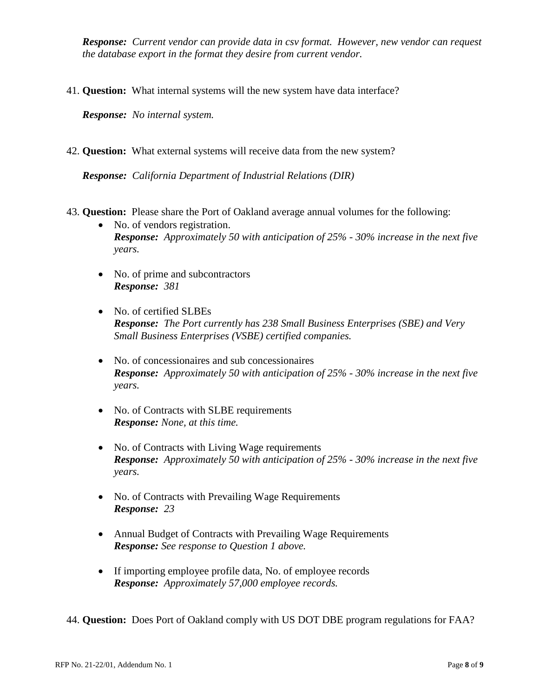*Response: Current vendor can provide data in csv format. However, new vendor can request the database export in the format they desire from current vendor.* 

41. **Question:** What internal systems will the new system have data interface?

*Response: No internal system.* 

42. **Question:** What external systems will receive data from the new system?

*Response: California Department of Industrial Relations (DIR)*

- 43. **Question:** Please share the Port of Oakland average annual volumes for the following:
	- No. of vendors registration. *Response: Approximately 50 with anticipation of 25% - 30% increase in the next five years.*
	- No. of prime and subcontractors *Response: 381*
	- No. of certified SLBEs *Response: The Port currently has 238 Small Business Enterprises (SBE) and Very Small Business Enterprises (VSBE) certified companies.*
	- No. of concessionaires and sub concessionaires *Response: Approximately 50 with anticipation of 25% - 30% increase in the next five years.*
	- No. of Contracts with SLBE requirements *Response: None, at this time.*
	- No. of Contracts with Living Wage requirements *Response: Approximately 50 with anticipation of 25% - 30% increase in the next five years.*
	- No. of Contracts with Prevailing Wage Requirements *Response: 23*
	- Annual Budget of Contracts with Prevailing Wage Requirements *Response: See response to Question 1 above.*
	- If importing employee profile data, No. of employee records *Response: Approximately 57,000 employee records.*

44. **Question:** Does Port of Oakland comply with US DOT DBE program regulations for FAA?